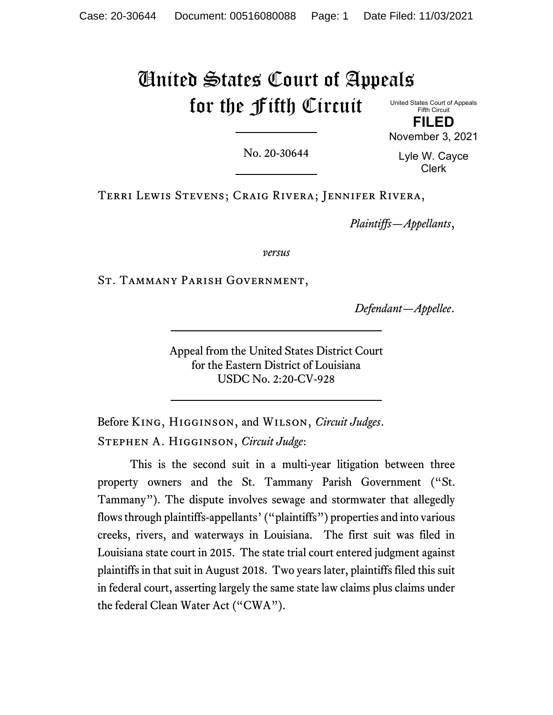# United States Court of Appeals for the Fifth Circuit

United States Court of Appeals Fifth Circuit **FILED**

No. 20-30644

Lyle W. Cayce Clerk

November 3, 2021

Terri Lewis Stevens; Craig Rivera; Jennifer Rivera,

*Plaintiffs—Appellants*,

*versus*

St. Tammany Parish Government,

*Defendant—Appellee*.

Appeal from the United States District Court for the Eastern District of Louisiana USDC No. 2:20-CV-928

Before King, Higginson, and Wilson, *Circuit Judges*. Stephen A. Higginson, *Circuit Judge*:

This is the second suit in a multi-year litigation between three property owners and the St. Tammany Parish Government ("St. Tammany"). The dispute involves sewage and stormwater that allegedly flows through plaintiffs-appellants' ("plaintiffs") properties and into various creeks, rivers, and waterways in Louisiana. The first suit was filed in Louisiana state court in 2015. The state trial court entered judgment against plaintiffs in that suit in August 2018. Two years later, plaintiffs filed this suit in federal court, asserting largely the same state law claims plus claims under the federal Clean Water Act ("CWA").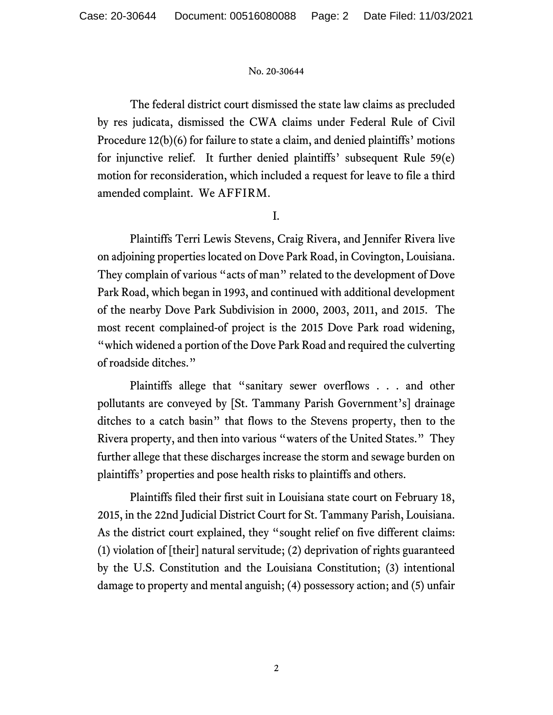The federal district court dismissed the state law claims as precluded by res judicata, dismissed the CWA claims under Federal Rule of Civil Procedure 12(b)(6) for failure to state a claim, and denied plaintiffs' motions for injunctive relief. It further denied plaintiffs' subsequent Rule 59(e) motion for reconsideration, which included a request for leave to file a third amended complaint. We AFFIRM.

I.

Plaintiffs Terri Lewis Stevens, Craig Rivera, and Jennifer Rivera live on adjoining properties located on Dove Park Road, in Covington, Louisiana. They complain of various "acts of man" related to the development of Dove Park Road, which began in 1993, and continued with additional development of the nearby Dove Park Subdivision in 2000, 2003, 2011, and 2015. The most recent complained-of project is the 2015 Dove Park road widening, "which widened a portion of the Dove Park Road and required the culverting of roadside ditches."

Plaintiffs allege that "sanitary sewer overflows . . . and other pollutants are conveyed by [St. Tammany Parish Government's] drainage ditches to a catch basin" that flows to the Stevens property, then to the Rivera property, and then into various "waters of the United States." They further allege that these discharges increase the storm and sewage burden on plaintiffs' properties and pose health risks to plaintiffs and others.

Plaintiffs filed their first suit in Louisiana state court on February 18, 2015, in the 22nd Judicial District Court for St. Tammany Parish, Louisiana. As the district court explained, they "sought relief on five different claims: (1) violation of [their] natural servitude; (2) deprivation of rights guaranteed by the U.S. Constitution and the Louisiana Constitution; (3) intentional damage to property and mental anguish; (4) possessory action; and (5) unfair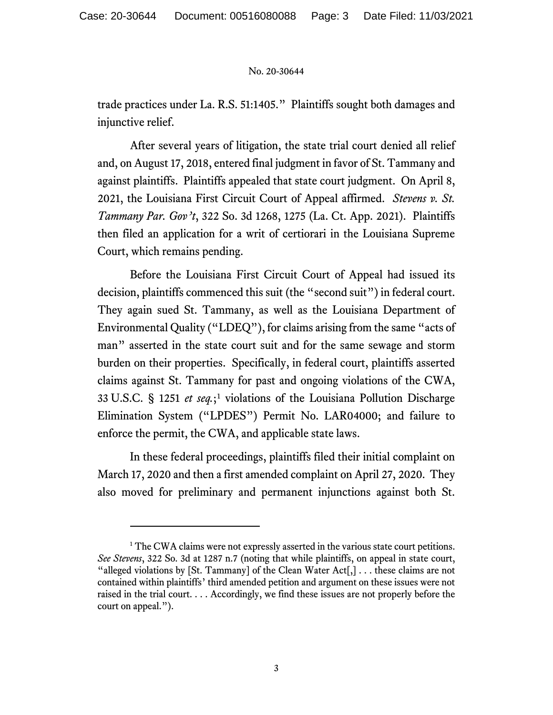trade practices under La. R.S. 51:1405." Plaintiffs sought both damages and injunctive relief.

After several years of litigation, the state trial court denied all relief and, on August 17, 2018, entered final judgment in favor of St. Tammany and against plaintiffs. Plaintiffs appealed that state court judgment. On April 8, 2021, the Louisiana First Circuit Court of Appeal affirmed. *Stevens v. St. Tammany Par. Gov't*, 322 So. 3d 1268, 1275 (La. Ct. App. 2021). Plaintiffs then filed an application for a writ of certiorari in the Louisiana Supreme Court, which remains pending.

Before the Louisiana First Circuit Court of Appeal had issued its decision, plaintiffs commenced this suit (the "second suit") in federal court. They again sued St. Tammany, as well as the Louisiana Department of Environmental Quality ("LDEQ"), for claims arising from the same "acts of man" asserted in the state court suit and for the same sewage and storm burden on their properties.Specifically, in federal court, plaintiffs asserted claims against St. Tammany for past and ongoing violations of the CWA, 33 U.S.C. § 1251 *et seq.*;[1](#page-2-0) violations of the Louisiana Pollution Discharge Elimination System ("LPDES") Permit No. LAR04000; and failure to enforce the permit, the CWA, and applicable state laws.

In these federal proceedings, plaintiffs filed their initial complaint on March 17, 2020 and then a first amended complaint on April 27, 2020. They also moved for preliminary and permanent injunctions against both St.

<span id="page-2-0"></span><sup>&</sup>lt;sup>1</sup> The CWA claims were not expressly asserted in the various state court petitions. *See Stevens*, 322 So. 3d at 1287 n.7 (noting that while plaintiffs, on appeal in state court, "alleged violations by [St. Tammany] of the Clean Water Act[,]  $\ldots$  these claims are not contained within plaintiffs' third amended petition and argument on these issues were not raised in the trial court. . . . Accordingly, we find these issues are not properly before the court on appeal.").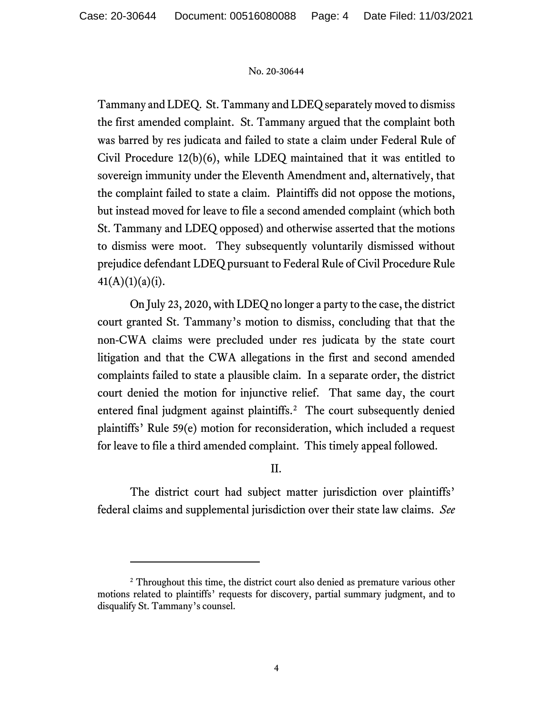Tammany and LDEQ. St. Tammany and LDEQ separately moved to dismiss the first amended complaint. St. Tammany argued that the complaint both was barred by res judicata and failed to state a claim under Federal Rule of Civil Procedure 12(b)(6), while LDEQ maintained that it was entitled to sovereign immunity under the Eleventh Amendment and, alternatively, that the complaint failed to state a claim. Plaintiffs did not oppose the motions, but instead moved for leave to file a second amended complaint (which both St. Tammany and LDEQ opposed) and otherwise asserted that the motions to dismiss were moot. They subsequently voluntarily dismissed without prejudice defendant LDEQ pursuant to Federal Rule of Civil Procedure Rule  $41(A)(1)(a)(i)$ .

On July 23, 2020, with LDEQ no longer a party to the case, the district court granted St. Tammany's motion to dismiss, concluding that that the non-CWA claims were precluded under res judicata by the state court litigation and that the CWA allegations in the first and second amended complaints failed to state a plausible claim. In a separate order, the district court denied the motion for injunctive relief. That same day, the court entered final judgment against plaintiffs.<sup>2</sup> The court subsequently denied plaintiffs' Rule 59(e) motion for reconsideration, which included a request for leave to file a third amended complaint. This timely appeal followed.

# II.

The district court had subject matter jurisdiction over plaintiffs' federal claims and supplemental jurisdiction over their state law claims. *See* 

<span id="page-3-0"></span><sup>&</sup>lt;sup>2</sup> Throughout this time, the district court also denied as premature various other motions related to plaintiffs' requests for discovery, partial summary judgment, and to disqualify St. Tammany's counsel.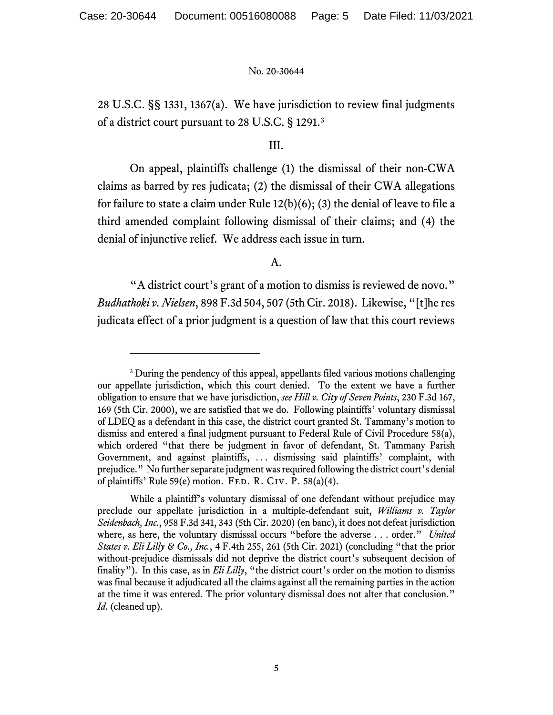28 U.S.C. §§ 1331, 1367(a). We have jurisdiction to review final judgments of a district court pursuant to 28 U.S.C. § 1291.[3](#page-4-0)

# III.

On appeal, plaintiffs challenge (1) the dismissal of their non-CWA claims as barred by res judicata; (2) the dismissal of their CWA allegations for failure to state a claim under Rule 12(b)(6); (3) the denial of leave to file a third amended complaint following dismissal of their claims; and (4) the denial of injunctive relief. We address each issue in turn.

## A.

"A district court's grant of a motion to dismiss is reviewed de novo." *Budhathoki v. Nielsen*, 898 F.3d 504, 507 (5th Cir. 2018). Likewise, "[t]he res judicata effect of a prior judgment is a question of law that this court reviews

<span id="page-4-0"></span><sup>&</sup>lt;sup>3</sup> During the pendency of this appeal, appellants filed various motions challenging our appellate jurisdiction, which this court denied. To the extent we have a further obligation to ensure that we have jurisdiction, *see Hill v. City of Seven Points*, 230 F.3d 167, 169 (5th Cir. 2000), we are satisfied that we do. Following plaintiffs' voluntary dismissal of LDEQ as a defendant in this case, the district court granted St. Tammany's motion to dismiss and entered a final judgment pursuant to Federal Rule of Civil Procedure 58(a), which ordered "that there be judgment in favor of defendant, St. Tammany Parish Government, and against plaintiffs, ... dismissing said plaintiffs' complaint, with prejudice." No further separate judgmentwas required following the district court's denial of plaintiffs' Rule 59(e) motion. FED. R. CIV. P. 58(a)(4).

While a plaintiff's voluntary dismissal of one defendant without prejudice may preclude our appellate jurisdiction in a multiple-defendant suit, *Williams v. Taylor Seidenbach, Inc.*, 958 F.3d 341, 343 (5th Cir. 2020) (en banc), it does not defeat jurisdiction where, as here, the voluntary dismissal occurs "before the adverse . . . order." *United States v. Eli Lilly & Co., Inc.*, 4 F.4th 255, 261 (5th Cir. 2021) (concluding "that the prior without-prejudice dismissals did not deprive the district court's subsequent decision of finality"). In this case, as in *Eli Lilly*, "the district court's order on the motion to dismiss was final because it adjudicated all the claims against all the remaining parties in the action at the time it was entered. The prior voluntary dismissal does not alter that conclusion." *Id.* (cleaned up).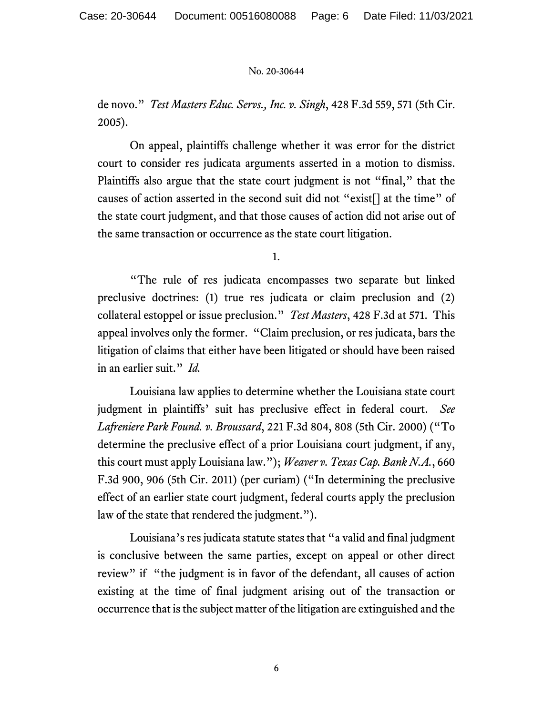de novo." *Test Masters Educ. Servs., Inc. v. Singh*, 428 F.3d 559, 571 (5th Cir. 2005).

On appeal, plaintiffs challenge whether it was error for the district court to consider res judicata arguments asserted in a motion to dismiss. Plaintiffs also argue that the state court judgment is not "final," that the causes of action asserted in the second suit did not "exist[] at the time" of the state court judgment, and that those causes of action did not arise out of the same transaction or occurrence as the state court litigation.

1.

"The rule of res judicata encompasses two separate but linked preclusive doctrines: (1) true res judicata or claim preclusion and (2) collateral estoppel or issue preclusion." *Test Masters*, 428 F.3d at 571. This appeal involves only the former. "Claim preclusion, or res judicata, bars the litigation of claims that either have been litigated or should have been raised in an earlier suit." *Id.*

Louisiana law applies to determine whether the Louisiana state court judgment in plaintiffs' suit has preclusive effect in federal court. *See Lafreniere Park Found. v. Broussard*, 221 F.3d 804, 808 (5th Cir. 2000) ("To determine the preclusive effect of a prior Louisiana court judgment, if any, this court must apply Louisiana law."); *Weaver v. Texas Cap. Bank N.A.*, 660 F.3d 900, 906 (5th Cir. 2011) (per curiam) ("In determining the preclusive effect of an earlier state court judgment, federal courts apply the preclusion law of the state that rendered the judgment.").

Louisiana's res judicata statute states that "a valid and final judgment is conclusive between the same parties, except on appeal or other direct review" if "the judgment is in favor of the defendant, all causes of action existing at the time of final judgment arising out of the transaction or occurrence that is the subject matter of the litigation are extinguished and the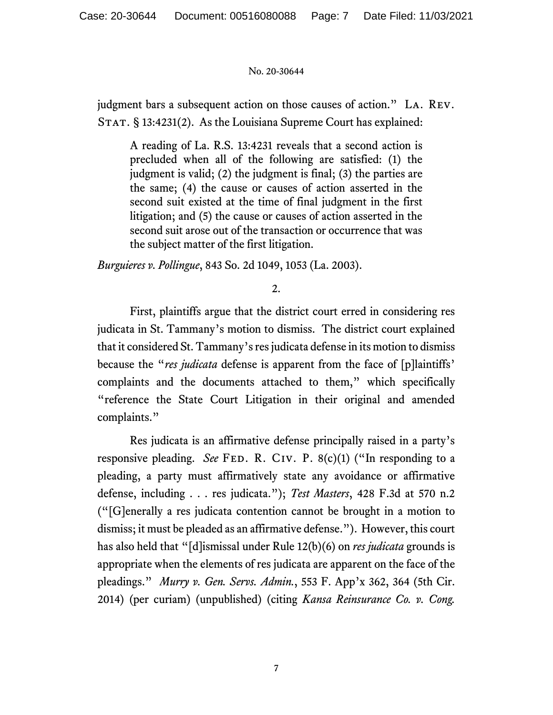judgment bars a subsequent action on those causes of action." La. Rev. STAT. § 13:4231(2). As the Louisiana Supreme Court has explained:

A reading of La. R.S. 13:4231 reveals that a second action is precluded when all of the following are satisfied: (1) the judgment is valid; (2) the judgment is final; (3) the parties are the same; (4) the cause or causes of action asserted in the second suit existed at the time of final judgment in the first litigation; and (5) the cause or causes of action asserted in the second suit arose out of the transaction or occurrence that was the subject matter of the first litigation.

*Burguieres v. Pollingue*, 843 So. 2d 1049, 1053 (La. 2003).

2.

First, plaintiffs argue that the district court erred in considering res judicata in St. Tammany's motion to dismiss. The district court explained that it considered St. Tammany's res judicata defense in its motion to dismiss because the "*res judicata* defense is apparent from the face of [p]laintiffs' complaints and the documents attached to them," which specifically "reference the State Court Litigation in their original and amended complaints."

Res judicata is an affirmative defense principally raised in a party's responsive pleading. *See* FED. R. CIV. P. 8(c)(1) ("In responding to a pleading, a party must affirmatively state any avoidance or affirmative defense, including . . . res judicata."); *Test Masters*, 428 F.3d at 570 n.2 ("[G]enerally a res judicata contention cannot be brought in a motion to dismiss; it must be pleaded as an affirmative defense."). However, this court has also held that "[d]ismissal under Rule 12(b)(6) on *res judicata* grounds is appropriate when the elements of res judicata are apparent on the face of the pleadings." *Murry v. Gen. Servs. Admin.*, 553 F. App'x 362, 364 (5th Cir. 2014) (per curiam) (unpublished) (citing *Kansa Reinsurance Co. v. Cong.*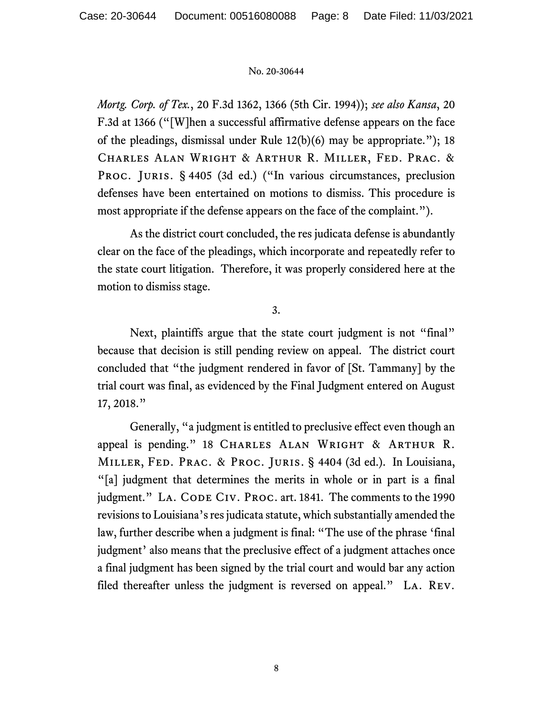*Mortg. Corp. of Tex.*, 20 F.3d 1362, 1366 (5th Cir. 1994)); *see also Kansa*, 20 F.3d at 1366 ("[W]hen a successful affirmative defense appears on the face of the pleadings, dismissal under Rule 12(b)(6) may be appropriate."); 18 Charles Alan Wright & Arthur R. Miller, Fed. Prac. & PROC. JURIS. § 4405 (3d ed.) ("In various circumstances, preclusion defenses have been entertained on motions to dismiss. This procedure is most appropriate if the defense appears on the face of the complaint.").

As the district court concluded, the res judicata defense is abundantly clear on the face of the pleadings, which incorporate and repeatedly refer to the state court litigation. Therefore, it was properly considered here at the motion to dismiss stage.

3.

Next, plaintiffs argue that the state court judgment is not "final" because that decision is still pending review on appeal. The district court concluded that "the judgment rendered in favor of [St. Tammany] by the trial court was final, as evidenced by the Final Judgment entered on August 17, 2018."

Generally, "a judgment is entitled to preclusive effect even though an appeal is pending." 18 CHARLES ALAN WRIGHT & ARTHUR R. Miller, Fed. Prac. & Proc. Juris. § 4404 (3d ed.). In Louisiana, "[a] judgment that determines the merits in whole or in part is a final judgment." LA. CODE CIV. PROC. art. 1841. The comments to the 1990 revisions to Louisiana's res judicata statute, which substantially amended the law, further describe when a judgment is final: "The use of the phrase 'final judgment' also means that the preclusive effect of a judgment attaches once a final judgment has been signed by the trial court and would bar any action filed thereafter unless the judgment is reversed on appeal." La. Rev.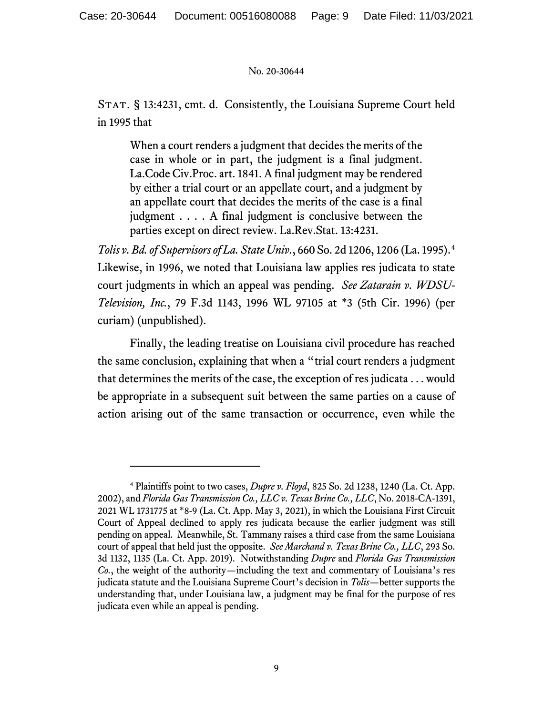STAT. § 13:4231, cmt. d. Consistently, the Louisiana Supreme Court held in 1995 that

When a court renders a judgment that decides the merits of the case in whole or in part, the judgment is a final judgment. La.Code Civ.Proc. art. 1841. A final judgment may be rendered by either a trial court or an appellate court, and a judgment by an appellate court that decides the merits of the case is a final judgment . . . . A final judgment is conclusive between the parties except on direct review. La.Rev.Stat. 13:4231.

*Tolis v. Bd. of Supervisors of La. State Univ.*, 660 So. 2d 1206, 1206 (La. 1995).[4](#page-8-0) Likewise, in 1996, we noted that Louisiana law applies res judicata to state court judgments in which an appeal was pending. *See Zatarain v. WDSU-Television, Inc.*, 79 F.3d 1143, 1996 WL 97105 at \*3 (5th Cir. 1996) (per curiam) (unpublished).

Finally, the leading treatise on Louisiana civil procedure has reached the same conclusion, explaining that when a "trial court renders a judgment that determines the merits of the case, the exception of res judicata . . . would be appropriate in a subsequent suit between the same parties on a cause of action arising out of the same transaction or occurrence, even while the

<span id="page-8-0"></span><sup>4</sup> Plaintiffs point to two cases, *Dupre v. Floyd*, 825 So. 2d 1238, 1240 (La. Ct. App. 2002), and *Florida Gas Transmission Co., LLC v. Texas Brine Co., LLC*, No. 2018-CA-1391, 2021 WL 1731775 at \*8-9 (La. Ct. App. May 3, 2021), in which the Louisiana First Circuit Court of Appeal declined to apply res judicata because the earlier judgment was still pending on appeal. Meanwhile, St. Tammany raises a third case from the same Louisiana court of appeal that held just the opposite. *See Marchand v. Texas Brine Co., LLC*, 293 So. 3d 1132, 1135 (La. Ct. App. 2019). Notwithstanding *Dupre* and *Florida Gas Transmission Co.*, the weight of the authority—including the text and commentary of Louisiana's res judicata statute and the Louisiana Supreme Court's decision in *Tolis*—better supports the understanding that, under Louisiana law, a judgment may be final for the purpose of res judicata even while an appeal is pending.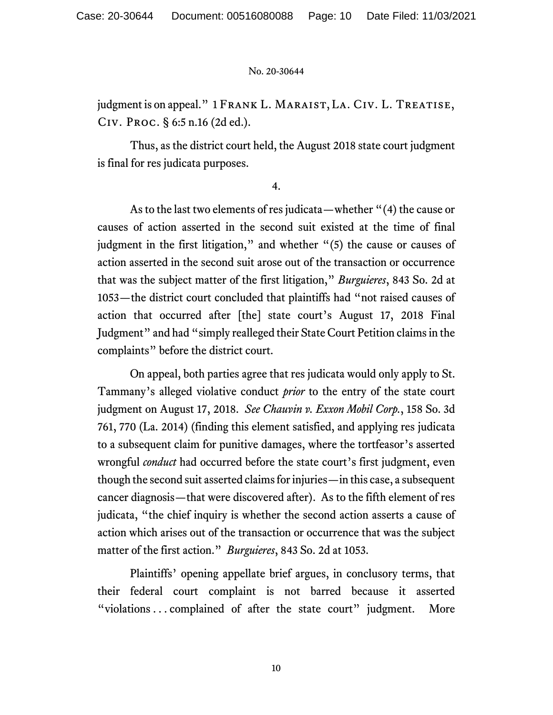judgment is on appeal." 1 FRANK L. MARAIST, LA. CIV. L. TREATISE, Civ. Proc. § 6:5 n.16 (2d ed.).

Thus, as the district court held, the August 2018 state court judgment is final for res judicata purposes.

4.

As to the last two elements of res judicata—whether "(4) the cause or causes of action asserted in the second suit existed at the time of final judgment in the first litigation," and whether "(5) the cause or causes of action asserted in the second suit arose out of the transaction or occurrence that was the subject matter of the first litigation," *Burguieres*, 843 So. 2d at 1053—the district court concluded that plaintiffs had "not raised causes of action that occurred after [the] state court's August 17, 2018 Final Judgment" and had "simply realleged their State Court Petition claims in the complaints" before the district court.

On appeal, both parties agree that res judicata would only apply to St. Tammany's alleged violative conduct *prior* to the entry of the state court judgment on August 17, 2018. *See Chauvin v. Exxon Mobil Corp.*, 158 So. 3d 761, 770 (La. 2014) (finding this element satisfied, and applying res judicata to a subsequent claim for punitive damages, where the tortfeasor's asserted wrongful *conduct* had occurred before the state court's first judgment, even though the second suit asserted claims for injuries—in this case, a subsequent cancer diagnosis—that were discovered after). As to the fifth element of res judicata, "the chief inquiry is whether the second action asserts a cause of action which arises out of the transaction or occurrence that was the subject matter of the first action." *Burguieres*, 843 So. 2d at 1053.

Plaintiffs' opening appellate brief argues, in conclusory terms, that their federal court complaint is not barred because it asserted "violations ... complained of after the state court" judgment. More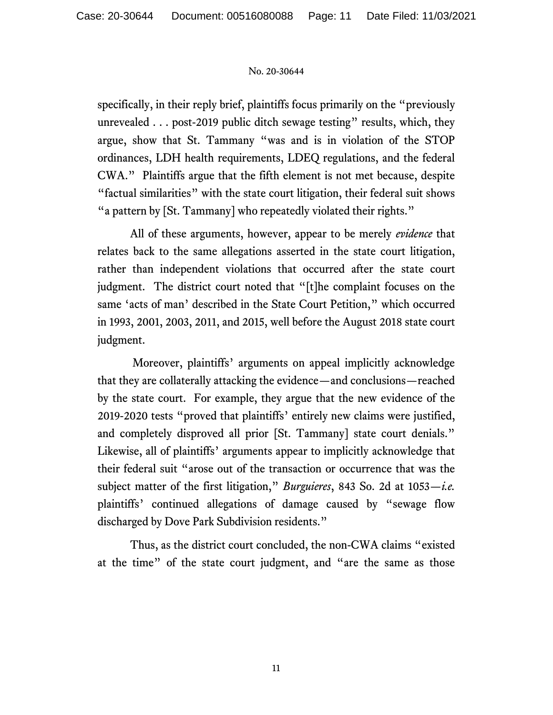specifically, in their reply brief, plaintiffs focus primarily on the "previously unrevealed . . . post-2019 public ditch sewage testing" results, which, they argue, show that St. Tammany "was and is in violation of the STOP ordinances, LDH health requirements, LDEQ regulations, and the federal CWA." Plaintiffs argue that the fifth element is not met because, despite "factual similarities" with the state court litigation, their federal suit shows "a pattern by [St. Tammany] who repeatedly violated their rights."

All of these arguments, however, appear to be merely *evidence* that relates back to the same allegations asserted in the state court litigation, rather than independent violations that occurred after the state court judgment. The district court noted that "[t]he complaint focuses on the same 'acts of man' described in the State Court Petition," which occurred in 1993, 2001, 2003, 2011, and 2015, well before the August 2018 state court judgment.

Moreover, plaintiffs' arguments on appeal implicitly acknowledge that they are collaterally attacking the evidence—and conclusions—reached by the state court. For example, they argue that the new evidence of the 2019-2020 tests "proved that plaintiffs' entirely new claims were justified, and completely disproved all prior [St. Tammany] state court denials." Likewise, all of plaintiffs' arguments appear to implicitly acknowledge that their federal suit "arose out of the transaction or occurrence that was the subject matter of the first litigation," *Burguieres*, 843 So. 2d at 1053—*i.e.* plaintiffs' continued allegations of damage caused by "sewage flow discharged by Dove Park Subdivision residents."

Thus, as the district court concluded, the non-CWA claims "existed at the time" of the state court judgment, and "are the same as those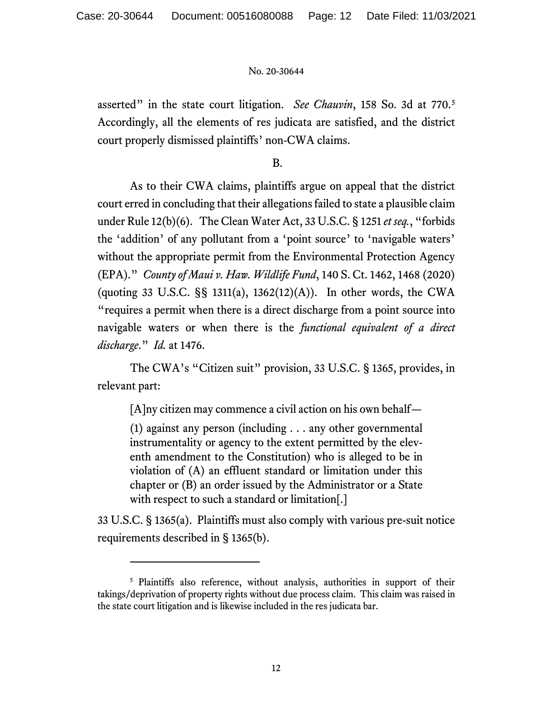asserted" in the state court litigation. *See Chauvin*, 158 So. 3d at 770.[5](#page-11-0) Accordingly, all the elements of res judicata are satisfied, and the district court properly dismissed plaintiffs' non-CWA claims.

B.

As to their CWA claims, plaintiffs argue on appeal that the district court erred in concluding that their allegations failed to state a plausible claim under Rule 12(b)(6). The Clean Water Act, 33 U.S.C. § 1251 *et seq.*, "forbids the 'addition' of any pollutant from a 'point source' to 'navigable waters' without the appropriate permit from the Environmental Protection Agency (EPA)." *County of Maui v. Haw. Wildlife Fund*, 140 S. Ct. 1462, 1468 (2020) (quoting 33 U.S.C.  $\S$ § 1311(a), 1362(12)(A)). In other words, the CWA "requires a permit when there is a direct discharge from a point source into navigable waters or when there is the *functional equivalent of a direct discharge*." *Id.* at 1476.

The CWA's "Citizen suit" provision, 33 U.S.C. § 1365, provides, in relevant part:

[A]ny citizen may commence a civil action on his own behalf—

(1) against any person (including . . . any other governmental instrumentality or agency to the extent permitted by the eleventh amendment to the Constitution) who is alleged to be in violation of (A) an effluent standard or limitation under this chapter or (B) an order issued by the Administrator or a State with respect to such a standard or limitation[.]

33 U.S.C. § 1365(a). Plaintiffs must also comply with various pre-suit notice requirements described in § 1365(b).

<span id="page-11-0"></span><sup>&</sup>lt;sup>5</sup> Plaintiffs also reference, without analysis, authorities in support of their takings/deprivation of property rights without due process claim. This claim was raised in the state court litigation and is likewise included in the res judicata bar.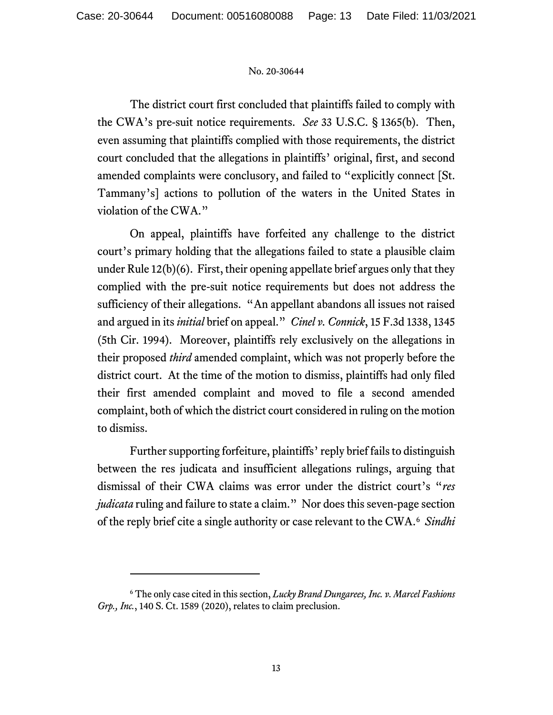The district court first concluded that plaintiffs failed to comply with the CWA's pre-suit notice requirements. *See* 33 U.S.C. § 1365(b). Then, even assuming that plaintiffs complied with those requirements, the district court concluded that the allegations in plaintiffs' original, first, and second amended complaints were conclusory, and failed to "explicitly connect [St. Tammany's] actions to pollution of the waters in the United States in violation of the CWA."

On appeal, plaintiffs have forfeited any challenge to the district court's primary holding that the allegations failed to state a plausible claim under Rule 12(b)(6). First, their opening appellate brief argues only that they complied with the pre-suit notice requirements but does not address the sufficiency of their allegations. "An appellant abandons all issues not raised and argued in its *initial* brief on appeal." *Cinel v. Connick*, 15 F.3d 1338, 1345 (5th Cir. 1994). Moreover, plaintiffs rely exclusively on the allegations in their proposed *third* amended complaint, which was not properly before the district court. At the time of the motion to dismiss, plaintiffs had only filed their first amended complaint and moved to file a second amended complaint, both of which the district court considered in ruling on the motion to dismiss.

Further supporting forfeiture, plaintiffs'reply brief fails to distinguish between the res judicata and insufficient allegations rulings, arguing that dismissal of their CWA claims was error under the district court's "*res judicata* ruling and failure to state a claim." Nor does this seven-page section of the reply brief cite a single authority or case relevant to the CWA.[6](#page-12-0) *Sindhi* 

<span id="page-12-0"></span><sup>6</sup> The only case cited in this section, *Lucky Brand Dungarees, Inc. v. Marcel Fashions Grp., Inc.*, 140 S. Ct. 1589 (2020), relates to claim preclusion.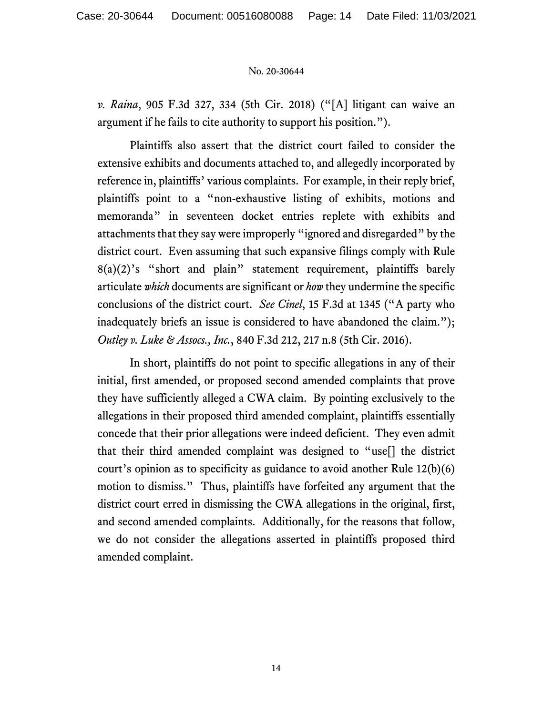*v. Raina*, 905 F.3d 327, 334 (5th Cir. 2018) ("[A] litigant can waive an argument if he fails to cite authority to support his position.").

Plaintiffs also assert that the district court failed to consider the extensive exhibits and documents attached to, and allegedly incorporated by reference in, plaintiffs' various complaints. For example, in their reply brief, plaintiffs point to a "non-exhaustive listing of exhibits, motions and memoranda" in seventeen docket entries replete with exhibits and attachments that they say were improperly "ignored and disregarded" by the district court. Even assuming that such expansive filings comply with Rule 8(a)(2)'s "short and plain" statement requirement, plaintiffs barely articulate *which* documents are significant or *how* they undermine the specific conclusions of the district court. *See Cinel*, 15 F.3d at 1345 ("A party who inadequately briefs an issue is considered to have abandoned the claim."); *Outley v. Luke & Assocs., Inc.*, 840 F.3d 212, 217 n.8 (5th Cir. 2016).

In short, plaintiffs do not point to specific allegations in any of their initial, first amended, or proposed second amended complaints that prove they have sufficiently alleged a CWA claim. By pointing exclusively to the allegations in their proposed third amended complaint, plaintiffs essentially concede that their prior allegations were indeed deficient. They even admit that their third amended complaint was designed to "use[] the district court's opinion as to specificity as guidance to avoid another Rule 12(b)(6) motion to dismiss." Thus, plaintiffs have forfeited any argument that the district court erred in dismissing the CWA allegations in the original, first, and second amended complaints. Additionally, for the reasons that follow, we do not consider the allegations asserted in plaintiffs proposed third amended complaint.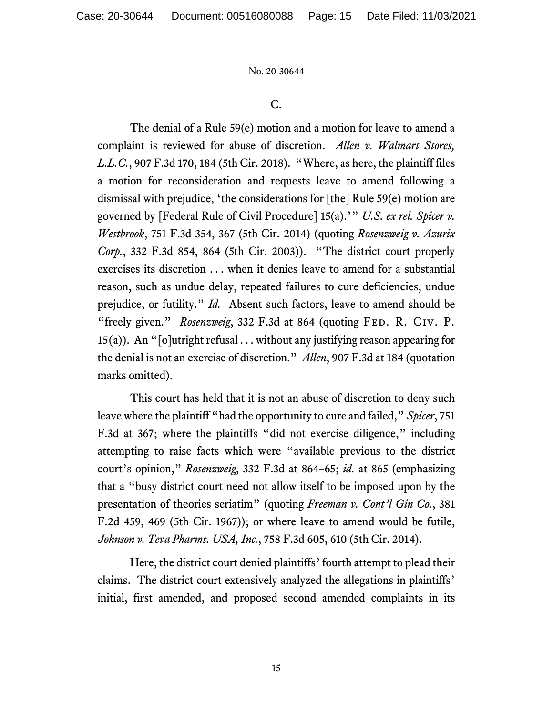C.

The denial of a Rule 59(e) motion and a motion for leave to amend a complaint is reviewed for abuse of discretion. *Allen v. Walmart Stores, L.L.C.*, 907 F.3d 170, 184 (5th Cir. 2018). "Where, as here, the plaintiff files a motion for reconsideration and requests leave to amend following a dismissal with prejudice, 'the considerations for [the] Rule 59(e) motion are governed by [Federal Rule of Civil Procedure] 15(a).'" *U.S. ex rel. Spicer v. Westbrook*, 751 F.3d 354, 367 (5th Cir. 2014) (quoting *Rosenzweig v. Azurix Corp.*, 332 F.3d 854, 864 (5th Cir. 2003)). "The district court properly exercises its discretion . . . when it denies leave to amend for a substantial reason, such as undue delay, repeated failures to cure deficiencies, undue prejudice, or futility." *Id.* Absent such factors, leave to amend should be "freely given." *Rosenzweig*, 332 F.3d at 864 (quoting FED. R. CIV. P.  $15(a)$ ). An "[o]utright refusal ... without any justifying reason appearing for the denial is not an exercise of discretion." *Allen*, 907 F.3d at 184 (quotation marks omitted).

This court has held that it is not an abuse of discretion to deny such leave where the plaintiff "had the opportunity to cure and failed," *Spicer*, 751 F.3d at 367; where the plaintiffs "did not exercise diligence," including attempting to raise facts which were "available previous to the district court's opinion," *Rosenzweig*, 332 F.3d at 864–65; *id.* at 865 (emphasizing that a "busy district court need not allow itself to be imposed upon by the presentation of theories seriatim" (quoting *Freeman v. Cont'l Gin Co.*, 381 F.2d 459, 469 (5th Cir. 1967)); or where leave to amend would be futile, *Johnson v. Teva Pharms. USA, Inc.*, 758 F.3d 605, 610 (5th Cir. 2014).

Here, the district court denied plaintiffs' fourth attempt to plead their claims. The district court extensively analyzed the allegations in plaintiffs' initial, first amended, and proposed second amended complaints in its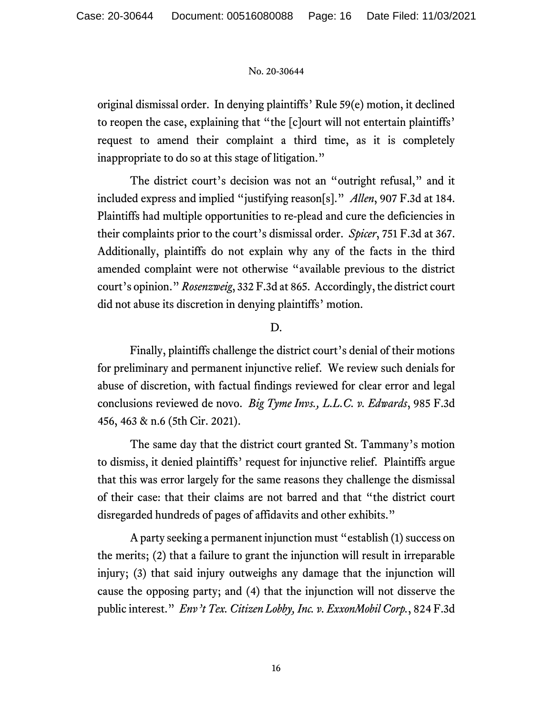original dismissal order. In denying plaintiffs' Rule 59(e) motion, it declined to reopen the case, explaining that "the [c]ourt will not entertain plaintiffs' request to amend their complaint a third time, as it is completely inappropriate to do so at this stage of litigation."

The district court's decision was not an "outright refusal," and it included express and implied "justifying reason[s]." *Allen*, 907 F.3d at 184. Plaintiffs had multiple opportunities to re-plead and cure the deficiencies in their complaints prior to the court's dismissal order. *Spicer*, 751 F.3d at 367. Additionally, plaintiffs do not explain why any of the facts in the third amended complaint were not otherwise "available previous to the district court's opinion." *Rosenzweig*, 332 F.3d at 865. Accordingly, the district court did not abuse its discretion in denying plaintiffs' motion.

# D.

Finally, plaintiffs challenge the district court's denial of their motions for preliminary and permanent injunctive relief. We review such denials for abuse of discretion, with factual findings reviewed for clear error and legal conclusions reviewed de novo. *Big Tyme Invs., L.L.C. v. Edwards*, 985 F.3d 456, 463 & n.6 (5th Cir. 2021).

The same day that the district court granted St. Tammany's motion to dismiss, it denied plaintiffs' request for injunctive relief. Plaintiffs argue that this was error largely for the same reasons they challenge the dismissal of their case: that their claims are not barred and that "the district court disregarded hundreds of pages of affidavits and other exhibits."

A party seeking a permanent injunction must "establish (1) success on the merits; (2) that a failure to grant the injunction will result in irreparable injury; (3) that said injury outweighs any damage that the injunction will cause the opposing party; and (4) that the injunction will not disserve the public interest." *Env't Tex. Citizen Lobby, Inc. v. ExxonMobil Corp.*, 824 F.3d